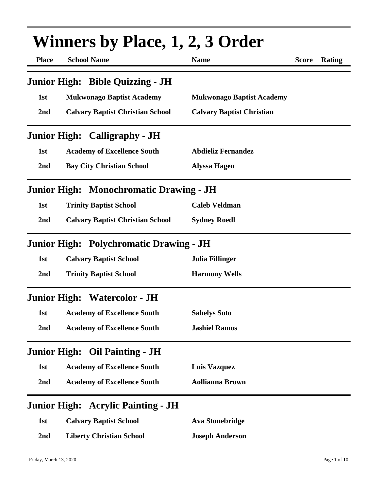| <b>Place</b>        | Winners by Place, 1, 2, 3 Order<br><b>School Name</b> | <b>Name</b>                      | <b>Score</b> | Rating |
|---------------------|-------------------------------------------------------|----------------------------------|--------------|--------|
|                     | Junior High: Bible Quizzing - JH                      |                                  |              |        |
| 1st                 | <b>Mukwonago Baptist Academy</b>                      | <b>Mukwonago Baptist Academy</b> |              |        |
| 2nd                 | <b>Calvary Baptist Christian School</b>               | <b>Calvary Baptist Christian</b> |              |        |
|                     | <b>Junior High: Calligraphy - JH</b>                  |                                  |              |        |
| 1st                 | <b>Academy of Excellence South</b>                    | <b>Abdieliz Fernandez</b>        |              |        |
| 2nd                 | <b>Bay City Christian School</b>                      | <b>Alyssa Hagen</b>              |              |        |
|                     | Junior High: Monochromatic Drawing - JH               |                                  |              |        |
| 1st                 | <b>Trinity Baptist School</b>                         | <b>Caleb Veldman</b>             |              |        |
| 2nd                 | <b>Calvary Baptist Christian School</b>               | <b>Sydney Roedl</b>              |              |        |
|                     | Junior High: Polychromatic Drawing - JH               |                                  |              |        |
| 1st                 | <b>Calvary Baptist School</b>                         | <b>Julia Fillinger</b>           |              |        |
| 2nd                 | <b>Trinity Baptist School</b>                         | <b>Harmony Wells</b>             |              |        |
|                     | <b>Junior High: Watercolor - JH</b>                   |                                  |              |        |
| 1st                 | <b>Academy of Excellence South</b>                    | <b>Sahelys Soto</b>              |              |        |
| 2nd                 | <b>Academy of Excellence South</b>                    | <b>Jashiel Ramos</b>             |              |        |
| <b>Junior High:</b> | <b>Oil Painting - JH</b>                              |                                  |              |        |
| 1st                 | <b>Academy of Excellence South</b>                    | <b>Luis Vazquez</b>              |              |        |
| 2nd                 | <b>Academy of Excellence South</b>                    | <b>Aollianna Brown</b>           |              |        |
| <b>Junior High:</b> | <b>Acrylic Painting - JH</b>                          |                                  |              |        |
| 1st                 | <b>Calvary Baptist School</b>                         | <b>Ava Stonebridge</b>           |              |        |
| 2 <sub>nd</sub>     | <b>Liberty Christian School</b>                       | <b>Joseph Anderson</b>           |              |        |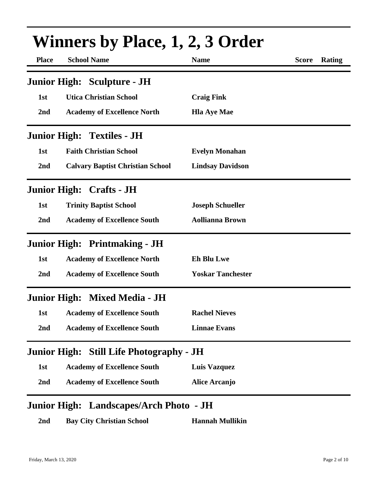| <b>Winners by Place, 1, 2, 3 Order</b> |                                         |                          |              |        |
|----------------------------------------|-----------------------------------------|--------------------------|--------------|--------|
| <b>Place</b>                           | <b>School Name</b>                      | <b>Name</b>              | <b>Score</b> | Rating |
|                                        | <b>Junior High: Sculpture - JH</b>      |                          |              |        |
| 1st                                    | <b>Utica Christian School</b>           | <b>Craig Fink</b>        |              |        |
| 2nd                                    | <b>Academy of Excellence North</b>      | <b>Hla Aye Mae</b>       |              |        |
|                                        | <b>Junior High: Textiles - JH</b>       |                          |              |        |
| 1st                                    | <b>Faith Christian School</b>           | <b>Evelyn Monahan</b>    |              |        |
| 2nd                                    | <b>Calvary Baptist Christian School</b> | <b>Lindsay Davidson</b>  |              |        |
|                                        | <b>Junior High: Crafts - JH</b>         |                          |              |        |
| 1st                                    | <b>Trinity Baptist School</b>           | <b>Joseph Schueller</b>  |              |        |
| 2nd                                    | <b>Academy of Excellence South</b>      | <b>Aollianna Brown</b>   |              |        |
|                                        | <b>Junior High: Printmaking - JH</b>    |                          |              |        |
| 1st                                    | <b>Academy of Excellence North</b>      | <b>Eh Blu Lwe</b>        |              |        |
| 2nd                                    | <b>Academy of Excellence South</b>      | <b>Yoskar Tanchester</b> |              |        |
|                                        | Junior High: Mixed Media - JH           |                          |              |        |
|                                        | 1st Academy of Excellence South         | <b>Rachel Nieves</b>     |              |        |
| 2nd                                    | <b>Academy of Excellence South</b>      | <b>Linnae Evans</b>      |              |        |
| <b>Junior High:</b>                    | <b>Still Life Photography - JH</b>      |                          |              |        |
| 1st                                    | <b>Academy of Excellence South</b>      | <b>Luis Vazquez</b>      |              |        |
| 2nd                                    | <b>Academy of Excellence South</b>      | <b>Alice Arcanjo</b>     |              |        |

### **Junior High: Landscapes/Arch Photo - JH**

**2nd Bay City Christian School Hannah Mullikin**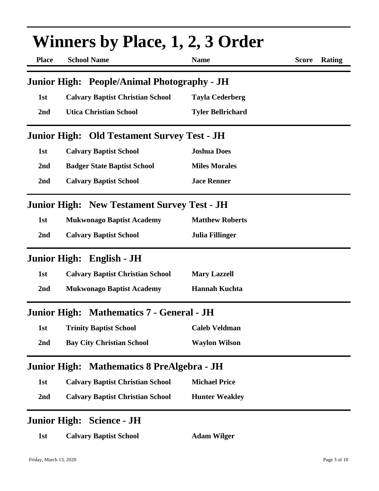| <b>Winners by Place, 1, 2, 3 Order</b> |                                                    |                          |                        |  |
|----------------------------------------|----------------------------------------------------|--------------------------|------------------------|--|
| <b>Place</b>                           | <b>School Name</b>                                 | <b>Name</b>              | <b>Score</b><br>Rating |  |
|                                        | Junior High: People/Animal Photography - JH        |                          |                        |  |
| 1st                                    | <b>Calvary Baptist Christian School</b>            | <b>Tayla Cederberg</b>   |                        |  |
| 2nd                                    | <b>Utica Christian School</b>                      | <b>Tyler Bellrichard</b> |                        |  |
|                                        | <b>Junior High: Old Testament Survey Test - JH</b> |                          |                        |  |
| 1st                                    | <b>Calvary Baptist School</b>                      | <b>Joshua Does</b>       |                        |  |
| 2nd                                    | <b>Badger State Baptist School</b>                 | <b>Miles Morales</b>     |                        |  |
| 2nd                                    | <b>Calvary Baptist School</b>                      | <b>Jace Renner</b>       |                        |  |
|                                        | <b>Junior High: New Testament Survey Test - JH</b> |                          |                        |  |
| 1st                                    | <b>Mukwonago Baptist Academy</b>                   | <b>Matthew Roberts</b>   |                        |  |
| 2nd                                    | <b>Calvary Baptist School</b>                      | Julia Fillinger          |                        |  |
|                                        | Junior High: English - JH                          |                          |                        |  |
| 1st                                    | <b>Calvary Baptist Christian School</b>            | <b>Mary Lazzell</b>      |                        |  |
| 2nd                                    | <b>Mukwonago Baptist Academy</b>                   | <b>Hannah Kuchta</b>     |                        |  |
|                                        | Junior High: Mathematics 7 - General - JH          |                          |                        |  |
| 1st                                    | <b>Trinity Baptist School</b>                      | <b>Caleb Veldman</b>     |                        |  |
| 2nd                                    | <b>Bay City Christian School</b>                   | <b>Waylon Wilson</b>     |                        |  |
|                                        | Junior High: Mathematics 8 PreAlgebra - JH         |                          |                        |  |
| 1st                                    | <b>Calvary Baptist Christian School</b>            | <b>Michael Price</b>     |                        |  |
| 2nd                                    | <b>Calvary Baptist Christian School</b>            | <b>Hunter Weakley</b>    |                        |  |
|                                        | <b>Junior High: Science - JH</b>                   |                          |                        |  |
| 1st                                    | <b>Calvary Baptist School</b>                      | <b>Adam Wilger</b>       |                        |  |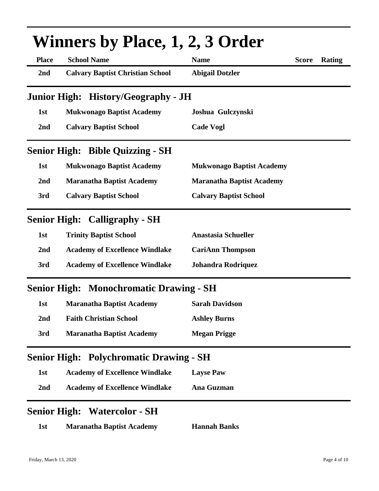| <b>Winners by Place, 1, 2, 3 Order</b> |                                                |                                  |              |        |
|----------------------------------------|------------------------------------------------|----------------------------------|--------------|--------|
| <b>Place</b>                           | <b>School Name</b>                             | <b>Name</b>                      | <b>Score</b> | Rating |
| 2 <sub>nd</sub>                        | <b>Calvary Baptist Christian School</b>        | <b>Abigail Dotzler</b>           |              |        |
|                                        | Junior High: History/Geography - JH            |                                  |              |        |
| 1st                                    | <b>Mukwonago Baptist Academy</b>               | Joshua Gulczynski                |              |        |
| 2 <sub>nd</sub>                        | <b>Calvary Baptist School</b>                  | <b>Cade Vogl</b>                 |              |        |
|                                        | <b>Senior High: Bible Quizzing - SH</b>        |                                  |              |        |
| 1st                                    | <b>Mukwonago Baptist Academy</b>               | <b>Mukwonago Baptist Academy</b> |              |        |
| 2nd                                    | <b>Maranatha Baptist Academy</b>               | <b>Maranatha Baptist Academy</b> |              |        |
| 3rd                                    | <b>Calvary Baptist School</b>                  | <b>Calvary Baptist School</b>    |              |        |
|                                        | <b>Senior High: Calligraphy - SH</b>           |                                  |              |        |
| 1st                                    | <b>Trinity Baptist School</b>                  | <b>Anastasia Schueller</b>       |              |        |
| 2nd                                    | <b>Academy of Excellence Windlake</b>          | <b>CariAnn Thompson</b>          |              |        |
| 3rd                                    | <b>Academy of Excellence Windlake</b>          | Johandra Rodriquez               |              |        |
|                                        | <b>Senior High: Monochromatic Drawing - SH</b> |                                  |              |        |
| 1st                                    | <b>Maranatha Baptist Academy</b>               | <b>Sarah Davidson</b>            |              |        |
| 2nd                                    | <b>Faith Christian School</b>                  | <b>Ashley Burns</b>              |              |        |
| 3rd                                    | <b>Maranatha Baptist Academy</b>               | <b>Megan Prigge</b>              |              |        |
|                                        | <b>Senior High: Polychromatic Drawing - SH</b> |                                  |              |        |
| 1st                                    | <b>Academy of Excellence Windlake</b>          | <b>Layse Paw</b>                 |              |        |
| 2 <sub>nd</sub>                        | <b>Academy of Excellence Windlake</b>          | Ana Guzman                       |              |        |
|                                        | <b>Senior High: Watercolor - SH</b>            |                                  |              |        |
| 1st                                    | <b>Maranatha Baptist Academy</b>               | <b>Hannah Banks</b>              |              |        |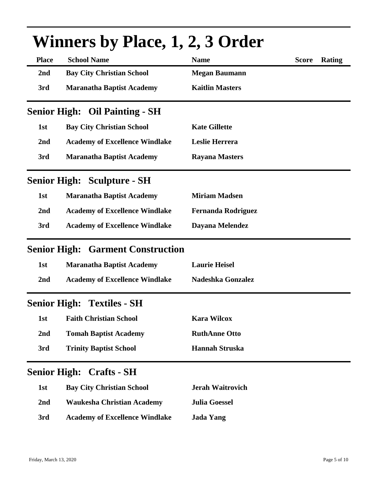|              | WHITEL'S DY FIACE, 1, 4, 5 OFTER         |                           |              |        |
|--------------|------------------------------------------|---------------------------|--------------|--------|
| <b>Place</b> | <b>School Name</b>                       | <b>Name</b>               | <b>Score</b> | Rating |
| 2nd          | <b>Bay City Christian School</b>         | <b>Megan Baumann</b>      |              |        |
| 3rd          | <b>Maranatha Baptist Academy</b>         | <b>Kaitlin Masters</b>    |              |        |
|              | <b>Senior High: Oil Painting - SH</b>    |                           |              |        |
| 1st          | <b>Bay City Christian School</b>         | <b>Kate Gillette</b>      |              |        |
| 2nd          | <b>Academy of Excellence Windlake</b>    | Leslie Herrera            |              |        |
| 3rd          | <b>Maranatha Baptist Academy</b>         | <b>Rayana Masters</b>     |              |        |
|              | <b>Senior High: Sculpture - SH</b>       |                           |              |        |
| 1st          | <b>Maranatha Baptist Academy</b>         | <b>Miriam Madsen</b>      |              |        |
| 2nd          | <b>Academy of Excellence Windlake</b>    | <b>Fernanda Rodriguez</b> |              |        |
| 3rd          | <b>Academy of Excellence Windlake</b>    | Dayana Melendez           |              |        |
|              | <b>Senior High: Garment Construction</b> |                           |              |        |
| 1st          | <b>Maranatha Baptist Academy</b>         | <b>Laurie Heisel</b>      |              |        |
| 2nd          | <b>Academy of Excellence Windlake</b>    | <b>Nadeshka Gonzalez</b>  |              |        |
|              | <b>Senior High: Textiles - SH</b>        |                           |              |        |
| 1st          | <b>Faith Christian School</b>            | <b>Kara Wilcox</b>        |              |        |
| 2nd          | <b>Tomah Baptist Academy</b>             | <b>RuthAnne Otto</b>      |              |        |
| 3rd          | <b>Trinity Baptist School</b>            | <b>Hannah Struska</b>     |              |        |
|              | <b>Senior High: Crafts - SH</b>          |                           |              |        |
| 1st          | <b>Bay City Christian School</b>         | <b>Jerah Waitrovich</b>   |              |        |
| 2nd          | <b>Waukesha Christian Academy</b>        | <b>Julia Goessel</b>      |              |        |
| 3rd          | <b>Academy of Excellence Windlake</b>    | <b>Jada Yang</b>          |              |        |

# $W$ inners by  $D$ lace, 1, 2,  $Q$ <sup>n</sup>der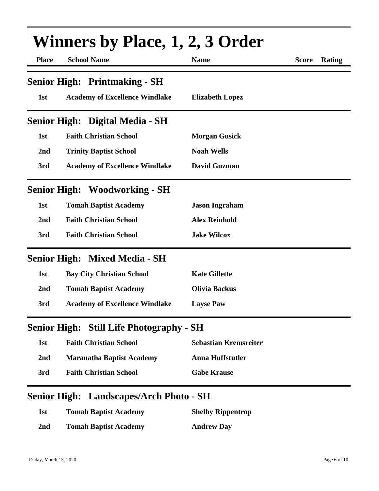| <b>Place</b>    | <b>School Name</b>                              | <b>Name</b>                  | <b>Score</b><br>Rating |
|-----------------|-------------------------------------------------|------------------------------|------------------------|
|                 | <b>Senior High: Printmaking - SH</b>            |                              |                        |
| 1st             | <b>Academy of Excellence Windlake</b>           | <b>Elizabeth Lopez</b>       |                        |
|                 | Senior High: Digital Media - SH                 |                              |                        |
| 1st             | <b>Faith Christian School</b>                   | <b>Morgan Gusick</b>         |                        |
| 2nd             | <b>Trinity Baptist School</b>                   | <b>Noah Wells</b>            |                        |
| 3rd             | <b>Academy of Excellence Windlake</b>           | <b>David Guzman</b>          |                        |
|                 | <b>Senior High: Woodworking - SH</b>            |                              |                        |
| 1st             | <b>Tomah Baptist Academy</b>                    | <b>Jason Ingraham</b>        |                        |
| 2nd             | <b>Faith Christian School</b>                   | <b>Alex Reinhold</b>         |                        |
| 3rd             | <b>Faith Christian School</b>                   | <b>Jake Wilcox</b>           |                        |
|                 | <b>Senior High: Mixed Media - SH</b>            |                              |                        |
| 1st             | <b>Bay City Christian School</b>                | <b>Kate Gillette</b>         |                        |
| 2 <sub>nd</sub> | <b>Tomah Baptist Academy</b>                    | <b>Olivia Backus</b>         |                        |
| 3rd             | <b>Academy of Excellence Windlake</b>           | <b>Layse Paw</b>             |                        |
|                 | <b>Senior High: Still Life Photography - SH</b> |                              |                        |
| 1st             | <b>Faith Christian School</b>                   | <b>Sebastian Kremsreiter</b> |                        |
| 2 <sub>nd</sub> | <b>Maranatha Baptist Academy</b>                | <b>Anna Huffstutler</b>      |                        |
| 3rd             | <b>Faith Christian School</b>                   | <b>Gabe Krause</b>           |                        |

### **1st Tomah Baptist Academy Shelby Rippentrop 2nd Tomah Baptist Academy Andrew Day**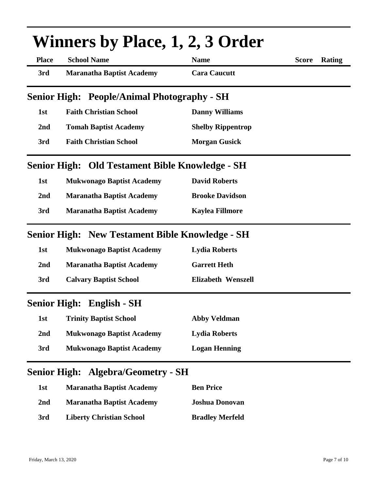| <b>Winners by Place, 1, 2, 3 Order</b> |                                                        |                           |                        |  |
|----------------------------------------|--------------------------------------------------------|---------------------------|------------------------|--|
| <b>Place</b>                           | <b>School Name</b>                                     | <b>Name</b>               | <b>Score</b><br>Rating |  |
| 3rd                                    | <b>Maranatha Baptist Academy</b>                       | <b>Cara Caucutt</b>       |                        |  |
|                                        | <b>Senior High: People/Animal Photography - SH</b>     |                           |                        |  |
| 1st                                    | <b>Faith Christian School</b>                          | <b>Danny Williams</b>     |                        |  |
| 2nd                                    | <b>Tomah Baptist Academy</b>                           | <b>Shelby Rippentrop</b>  |                        |  |
| 3rd                                    | <b>Faith Christian School</b>                          | <b>Morgan Gusick</b>      |                        |  |
|                                        | <b>Senior High: Old Testament Bible Knowledge - SH</b> |                           |                        |  |
| 1st                                    | <b>Mukwonago Baptist Academy</b>                       | <b>David Roberts</b>      |                        |  |
| 2 <sub>nd</sub>                        | <b>Maranatha Baptist Academy</b>                       | <b>Brooke Davidson</b>    |                        |  |
| 3rd                                    | <b>Maranatha Baptist Academy</b>                       | <b>Kaylea Fillmore</b>    |                        |  |
|                                        | <b>Senior High: New Testament Bible Knowledge - SH</b> |                           |                        |  |
| 1st                                    | <b>Mukwonago Baptist Academy</b>                       | <b>Lydia Roberts</b>      |                        |  |
| 2nd                                    | <b>Maranatha Baptist Academy</b>                       | <b>Garrett Heth</b>       |                        |  |
| 3rd                                    | <b>Calvary Baptist School</b>                          | <b>Elizabeth Wenszell</b> |                        |  |
| <b>Senior High:</b>                    | <b>English - SH</b>                                    |                           |                        |  |
| 1st                                    | <b>Trinity Baptist School</b>                          | <b>Abby Veldman</b>       |                        |  |
| 2nd                                    | <b>Mukwonago Baptist Academy</b>                       | <b>Lydia Roberts</b>      |                        |  |
| 3rd                                    | <b>Mukwonago Baptist Academy</b>                       | <b>Logan Henning</b>      |                        |  |
| <b>Senior High:</b>                    | <b>Algebra/Geometry - SH</b>                           |                           |                        |  |
| 1st                                    | <b>Maranatha Baptist Academy</b>                       | <b>Ben Price</b>          |                        |  |
| 2 <sub>nd</sub>                        | <b>Maranatha Baptist Academy</b>                       | <b>Joshua Donovan</b>     |                        |  |

**3rd Liberty Christian School Bradley Merfeld**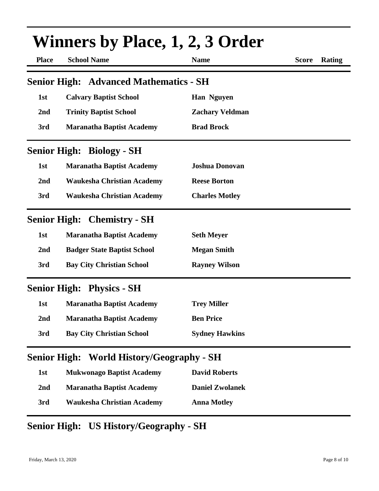| <b>Winners by Place, 1, 2, 3 Order</b> |                                                  |                        |                               |
|----------------------------------------|--------------------------------------------------|------------------------|-------------------------------|
| <b>Place</b>                           | <b>School Name</b>                               | <b>Name</b>            | <b>Rating</b><br><b>Score</b> |
| <b>Senior High:</b>                    | <b>Advanced Mathematics - SH</b>                 |                        |                               |
| 1st                                    | <b>Calvary Baptist School</b>                    | <b>Han Nguyen</b>      |                               |
| 2nd                                    | <b>Trinity Baptist School</b>                    | <b>Zachary Veldman</b> |                               |
| 3rd                                    | <b>Maranatha Baptist Academy</b>                 | <b>Brad Brock</b>      |                               |
|                                        | <b>Senior High: Biology - SH</b>                 |                        |                               |
| 1st                                    | <b>Maranatha Baptist Academy</b>                 | <b>Joshua Donovan</b>  |                               |
| 2nd                                    | <b>Waukesha Christian Academy</b>                | <b>Reese Borton</b>    |                               |
| 3rd                                    | <b>Waukesha Christian Academy</b>                | <b>Charles Motley</b>  |                               |
|                                        | <b>Senior High: Chemistry - SH</b>               |                        |                               |
| 1st                                    | <b>Maranatha Baptist Academy</b>                 | <b>Seth Meyer</b>      |                               |
| 2nd                                    | <b>Badger State Baptist School</b>               | <b>Megan Smith</b>     |                               |
| 3rd                                    | <b>Bay City Christian School</b>                 | <b>Rayney Wilson</b>   |                               |
|                                        | <b>Senior High: Physics - SH</b>                 |                        |                               |
| 1st                                    | <b>Maranatha Baptist Academy</b>                 | <b>Trey Miller</b>     |                               |
| 2nd                                    | <b>Maranatha Baptist Academy</b>                 | <b>Ben Price</b>       |                               |
| 3rd                                    | <b>Bay City Christian School</b>                 | <b>Sydney Hawkins</b>  |                               |
|                                        | <b>Senior High: World History/Geography - SH</b> |                        |                               |
| 1st                                    | <b>Mukwonago Baptist Academy</b>                 | <b>David Roberts</b>   |                               |
| 2nd                                    | <b>Maranatha Baptist Academy</b>                 | <b>Daniel Zwolanek</b> |                               |
| 3rd                                    | <b>Waukesha Christian Academy</b>                | <b>Anna Motley</b>     |                               |

## **Senior High: US History/Geography - SH**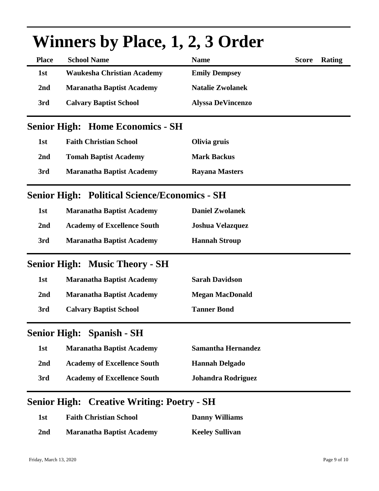| <b>Place</b> | <b>School Name</b>                                        | <b>Name</b>               | Rating<br><b>Score</b> |
|--------------|-----------------------------------------------------------|---------------------------|------------------------|
| 1st          | <b>Waukesha Christian Academy</b>                         | <b>Emily Dempsey</b>      |                        |
| 2nd          | <b>Maranatha Baptist Academy</b>                          | <b>Natalie Zwolanek</b>   |                        |
| 3rd          | <b>Calvary Baptist School</b>                             | <b>Alyssa DeVincenzo</b>  |                        |
|              | <b>Senior High: Home Economics - SH</b>                   |                           |                        |
| 1st          | <b>Faith Christian School</b>                             | Olivia gruis              |                        |
| 2nd          | <b>Tomah Baptist Academy</b>                              | <b>Mark Backus</b>        |                        |
| 3rd          | <b>Maranatha Baptist Academy</b><br><b>Rayana Masters</b> |                           |                        |
|              | <b>Senior High: Political Science/Economics - SH</b>      |                           |                        |
| 1st          | <b>Maranatha Baptist Academy</b>                          | <b>Daniel Zwolanek</b>    |                        |
| 2nd          | <b>Academy of Excellence South</b>                        | <b>Joshua Velazquez</b>   |                        |
| 3rd          | <b>Maranatha Baptist Academy</b>                          | <b>Hannah Stroup</b>      |                        |
|              | <b>Senior High: Music Theory - SH</b>                     |                           |                        |
| 1st          | <b>Maranatha Baptist Academy</b>                          | <b>Sarah Davidson</b>     |                        |
| 2nd          | <b>Maranatha Baptist Academy</b>                          | <b>Megan MacDonald</b>    |                        |
| 3rd          | <b>Calvary Baptist School</b>                             | <b>Tanner Bond</b>        |                        |
|              | <b>Senior High: Spanish - SH</b>                          |                           |                        |
| 1st          | <b>Maranatha Baptist Academy</b>                          | <b>Samantha Hernandez</b> |                        |
| 2nd          | <b>Academy of Excellence South</b>                        | <b>Hannah Delgado</b>     |                        |
|              |                                                           |                           |                        |

# **Winners by Place, 1, 2, 3 Order**

#### **Senior High: Creative Writing: Poetry - SH**

| 1st | <b>Faith Christian School</b>    | <b>Danny Williams</b>  |
|-----|----------------------------------|------------------------|
| 2nd | <b>Maranatha Baptist Academy</b> | <b>Keeley Sullivan</b> |